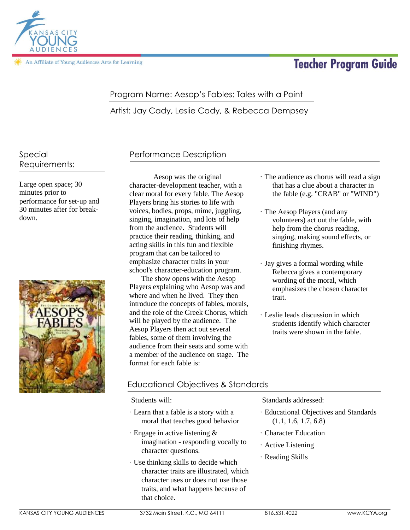

# **Teacher Program Guide**

# Program Name: Aesop's Fables: Tales with a Point

Artist: Jay Cady, Leslie Cady, & Rebecca Dempsey

Special Requirements:

Large open space; 30 minutes prior to performance for set-up and 30 minutes after for breakdown.



# Performance Description

Aesop was the original character-development teacher, with a clear moral for every fable. The Aesop Players bring his stories to life with voices, bodies, props, mime, juggling, singing, imagination, and lots of help from the audience. Students will practice their reading, thinking, and acting skills in this fun and flexible program that can be tailored to emphasize character traits in your school's character-education program.

The show opens with the Aesop Players explaining who Aesop was and where and when he lived. They then introduce the concepts of fables, morals, and the role of the Greek Chorus, which will be played by the audience. The Aesop Players then act out several fables, some of them involving the audience from their seats and some with a member of the audience on stage. The format for each fable is:

- · The audience as chorus will read a sign that has a clue about a character in the fable (e.g. "CRAB" or "WIND")
- · The Aesop Players (and any volunteers) act out the fable, with help from the chorus reading, singing, making sound effects, or finishing rhymes.
- · Jay gives a formal wording while Rebecca gives a contemporary wording of the moral, which emphasizes the chosen character trait.
- · Leslie leads discussion in which students identify which character traits were shown in the fable.

### Educational Objectives & Standards

Students will:

- · Learn that a fable is a story with a moral that teaches good behavior
- · Engage in active listening & imagination - responding vocally to character questions.
- · Use thinking skills to decide which character traits are illustrated, which character uses or does not use those traits, and what happens because of that choice.

Standards addressed:

- · Educational Objectives and Standards (1.1, 1.6, 1.7, 6.8)
- · Character Education
- · Active Listening
- · Reading Skills